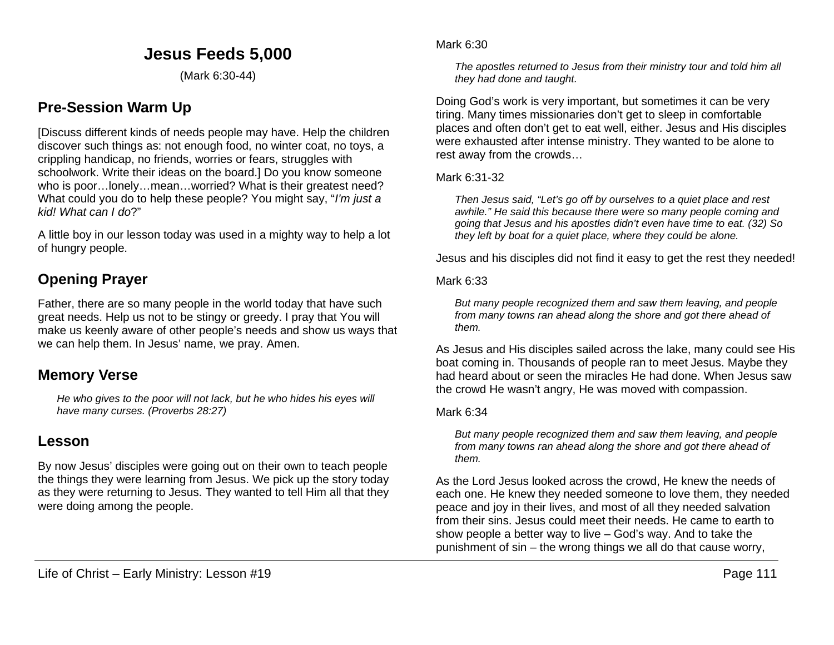## **Jesus Feeds 5,000**

(Mark 6:30-44)

## **Pre-Session Warm Up**

[Discuss different kinds of needs people may have. Help the children discover such things as: not enough food, no winter coat, no toys, a crippling handicap, no friends, worries or fears, struggles with schoolwork. Write their ideas on the board.] Do you know someone who is poor…lonely…mean…worried? What is their greatest need? What could you do to help these people? You might say, "*I'm just a kid! What can I do*?"

A little boy in our lesson today was used in a mighty way to help a lot of hungry people.

# **Opening Prayer**

Father, there are so many people in the world today that have such great needs. Help us not to be stingy or greedy. I pray that You will make us keenly aware of other people's needs and show us ways that we can help them. In Jesus' name, we pray. Amen.

## **Memory Verse**

*He who gives to the poor will not lack, but he who hides his eyes will have many curses. (Proverbs 28:27)*

## **Lesson**

By now Jesus' disciples were going out on their own to teach people the things they were learning from Jesus. We pick up the story today as they were returning to Jesus. They wanted to tell Him all that they were doing among the people.

#### Mark 6:30

*The apostles returned to Jesus from their ministry tour and told him all they had done and taught.*

Doing God's work is very important, but sometimes it can be very tiring. Many times missionaries don't get to sleep in comfortable places and often don't get to eat well, either. Jesus and His disciples were exhausted after intense ministry. They wanted to be alone to rest away from the crowds…

### Mark 6:31-32

*Then Jesus said, "Let's go off by ourselves to a quiet place and rest awhile." He said this because there were so many people coming and going that Jesus and his apostles didn't even have time to eat. (32) So they left by boat for a quiet place, where they could be alone.*

Jesus and his disciples did not find it easy to get the rest they needed!

#### Mark 6:33

*But many people recognized them and saw them leaving, and people from many towns ran ahead along the shore and got there ahead of them.* 

As Jesus and His disciples sailed across the lake, many could see His boat coming in. Thousands of people ran to meet Jesus. Maybe they had heard about or seen the miracles He had done. When Jesus saw the crowd He wasn't angry, He was moved with compassion.

#### Mark 6:34

*But many people recognized them and saw them leaving, and people from many towns ran ahead along the shore and got there ahead of them.*

As the Lord Jesus looked across the crowd, He knew the needs of each one. He knew they needed someone to love them, they needed peace and joy in their lives, and most of all they needed salvation from their sins. Jesus could meet their needs. He came to earth to show people a better way to live – God's way. And to take the punishment of sin – the wrong things we all do that cause worry,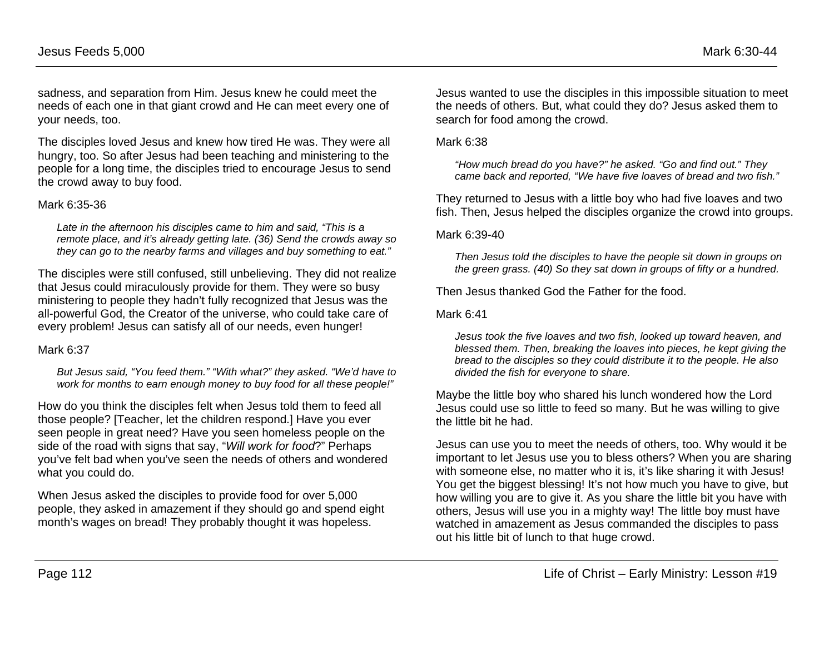sadness, and separation from Him. Jesus knew he could meet the needs of each one in that giant crowd and He can meet every one of your needs, too.

The disciples loved Jesus and knew how tired He was. They were all hungry, too. So after Jesus had been teaching and ministering to the people for a long time, the disciples tried to encourage Jesus to send the crowd away to buy food.

#### Mark 6:35-36

*Late in the afternoon his disciples came to him and said, "This is a remote place, and it's already getting late. (36) Send the crowds away so they can go to the nearby farms and villages and buy something to eat."*

The disciples were still confused, still unbelieving. They did not realize that Jesus could miraculously provide for them. They were so busy ministering to people they hadn't fully recognized that Jesus was the all-powerful God, the Creator of the universe, who could take care of every problem! Jesus can satisfy all of our needs, even hunger!

#### Mark 6:37

*But Jesus said, "You feed them." "With what?" they asked. "We'd have to work for months to earn enough money to buy food for all these people!"*

How do you think the disciples felt when Jesus told them to feed all those people? [Teacher, let the children respond.] Have you ever seen people in great need? Have you seen homeless people on the side of the road with signs that say, "*Will work for food*?" Perhaps you've felt bad when you've seen the needs of others and wondered what you could do.

When Jesus asked the disciples to provide food for over 5,000 people, they asked in amazement if they should go and spend eight month's wages on bread! They probably thought it was hopeless.

Jesus wanted to use the disciples in this impossible situation to meet the needs of others. But, what could they do? Jesus asked them to search for food among the crowd.

Mark 6:38

*"How much bread do you have?" he asked. "Go and find out." They came back and reported, "We have five loaves of bread and two fish."*

They returned to Jesus with a little boy who had five loaves and two fish. Then, Jesus helped the disciples organize the crowd into groups.

Mark 6:39-40

*Then Jesus told the disciples to have the people sit down in groups on the green grass. (40) So they sat down in groups of fifty or a hundred.*

Then Jesus thanked God the Father for the food.

Mark 6:41

*Jesus took the five loaves and two fish, looked up toward heaven, and blessed them. Then, breaking the loaves into pieces, he kept giving the bread to the disciples so they could distribute it to the people. He also divided the fish for everyone to share.*

Maybe the little boy who shared his lunch wondered how the Lord Jesus could use so little to feed so many. But he was willing to give the little bit he had.

Jesus can use you to meet the needs of others, too. Why would it be important to let Jesus use you to bless others? When you are sharing with someone else, no matter who it is, it's like sharing it with Jesus! You get the biggest blessing! It's not how much you have to give, but how willing you are to give it. As you share the little bit you have with others, Jesus will use you in a mighty way! The little boy must have watched in amazement as Jesus commanded the disciples to pass out his little bit of lunch to that huge crowd.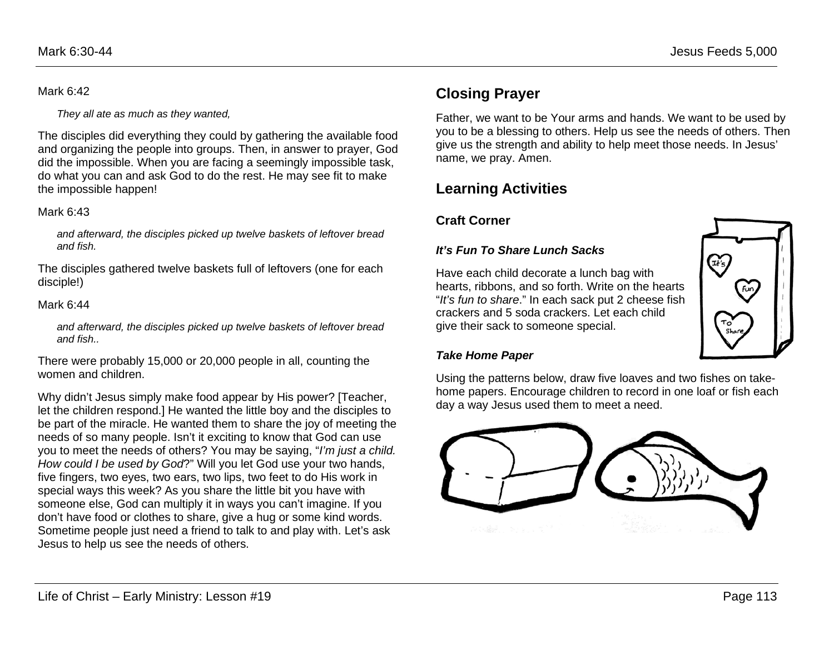### Mark 6:42

*They all ate as much as they wanted,*

The disciples did everything they could by gathering the available food and organizing the people into groups. Then, in answer to prayer, God did the impossible. When you are facing a seemingly impossible task, do what you can and ask God to do the rest. He may see fit to make the impossible happen!

### Mark 6:43

*and afterward, the disciples picked up twelve baskets of leftover bread and fish.*

The disciples gathered twelve baskets full of leftovers (one for each disciple!)

### Mark 6:44

*and afterward, the disciples picked up twelve baskets of leftover bread and fish..*

There were probably 15,000 or 20,000 people in all, counting the women and children.

Why didn't Jesus simply make food appear by His power? [Teacher, let the children respond.] He wanted the little boy and the disciples to be part of the miracle. He wanted them to share the joy of meeting the needs of so many people. Isn't it exciting to know that God can use you to meet the needs of others? You may be saying, "*I'm just a child. How could I be used by God*?" Will you let God use your two hands, five fingers, two eyes, two ears, two lips, two feet to do His work in special ways this week? As you share the little bit you have with someone else, God can multiply it in ways you can't imagine. If you don't have food or clothes to share, give a hug or some kind words. Sometime people just need a friend to talk to and play with. Let's ask Jesus to help us see the needs of others.

# **Closing Prayer**

Father, we want to be Your arms and hands. We want to be used by you to be a blessing to others. Help us see the needs of others. Then give us the strength and ability to help meet those needs. In Jesus' name, we pray. Amen.

# **Learning Activities**

## **Craft Corner**

### *It's Fun To Share Lunch Sacks*

Have each child decorate a lunch bag with hearts, ribbons, and so forth. Write on the hearts "*It's fun to share*." In each sack put 2 cheese fish crackers and 5 soda crackers. Let each child give their sack to someone special.



### *Take Home Paper*

Using the patterns below, draw five loaves and two fishes on takehome papers. Encourage children to record in one loaf or fish each day a way Jesus used them to meet a need.